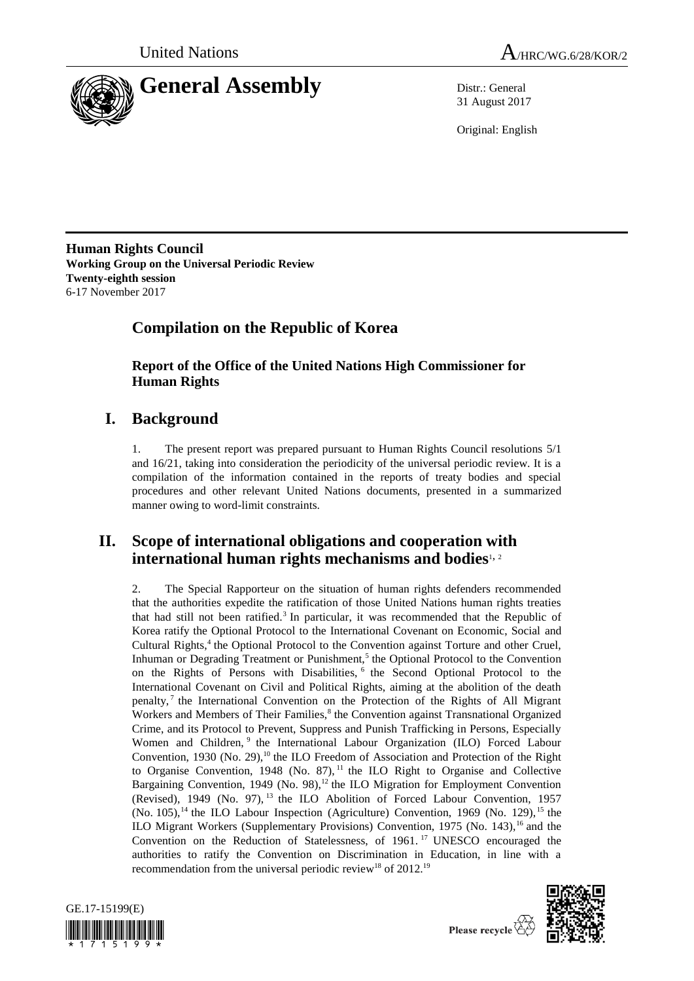



31 August 2017

Original: English

**Human Rights Council Working Group on the Universal Periodic Review Twenty-eighth session** 6-17 November 2017

# **Compilation on the Republic of Korea**

**Report of the Office of the United Nations High Commissioner for Human Rights**

# **I. Background**

1. The present report was prepared pursuant to Human Rights Council resolutions 5/1 and 16/21, taking into consideration the periodicity of the universal periodic review. It is a compilation of the information contained in the reports of treaty bodies and special procedures and other relevant United Nations documents, presented in a summarized manner owing to word-limit constraints.

## **II. Scope of international obligations and cooperation with international human rights mechanisms and bodies**<sup>1, 2</sup>

2. The Special Rapporteur on the situation of human rights defenders recommended that the authorities expedite the ratification of those United Nations human rights treaties that had still not been ratified.<sup>3</sup> In particular, it was recommended that the Republic of Korea ratify the Optional Protocol to the International Covenant on Economic, Social and Cultural Rights,<sup>4</sup> the Optional Protocol to the Convention against Torture and other Cruel, Inhuman or Degrading Treatment or Punishment,<sup>5</sup> the Optional Protocol to the Convention on the Rights of Persons with Disabilities, <sup>6</sup> the Second Optional Protocol to the International Covenant on Civil and Political Rights, aiming at the abolition of the death penalty,<sup>7</sup> the International Convention on the Protection of the Rights of All Migrant Workers and Members of Their Families,<sup>8</sup> the Convention against Transnational Organized Crime, and its Protocol to Prevent, Suppress and Punish Trafficking in Persons, Especially Women and Children,<sup>9</sup> the International Labour Organization (ILO) Forced Labour Convention, 1930 (No. 29),<sup>10</sup> the ILO Freedom of Association and Protection of the Right to Organise Convention, 1948 (No. 87),<sup>11</sup> the ILO Right to Organise and Collective Bargaining Convention, 1949 (No. 98),<sup>12</sup> the ILO Migration for Employment Convention (Revised), 1949 (No. 97), <sup>13</sup> the ILO Abolition of Forced Labour Convention, 1957 (No. 105),<sup>14</sup> the ILO Labour Inspection (Agriculture) Convention, 1969 (No. 129),<sup>15</sup> the ILO Migrant Workers (Supplementary Provisions) Convention,  $1975$  (No. 143), <sup>16</sup> and the Convention on the Reduction of Statelessness, of 1961.<sup>17</sup> UNESCO encouraged the authorities to ratify the Convention on Discrimination in Education, in line with a recommendation from the universal periodic review<sup>18</sup> of 2012.<sup>19</sup>





Please recycle  $\overleftrightarrow{C}$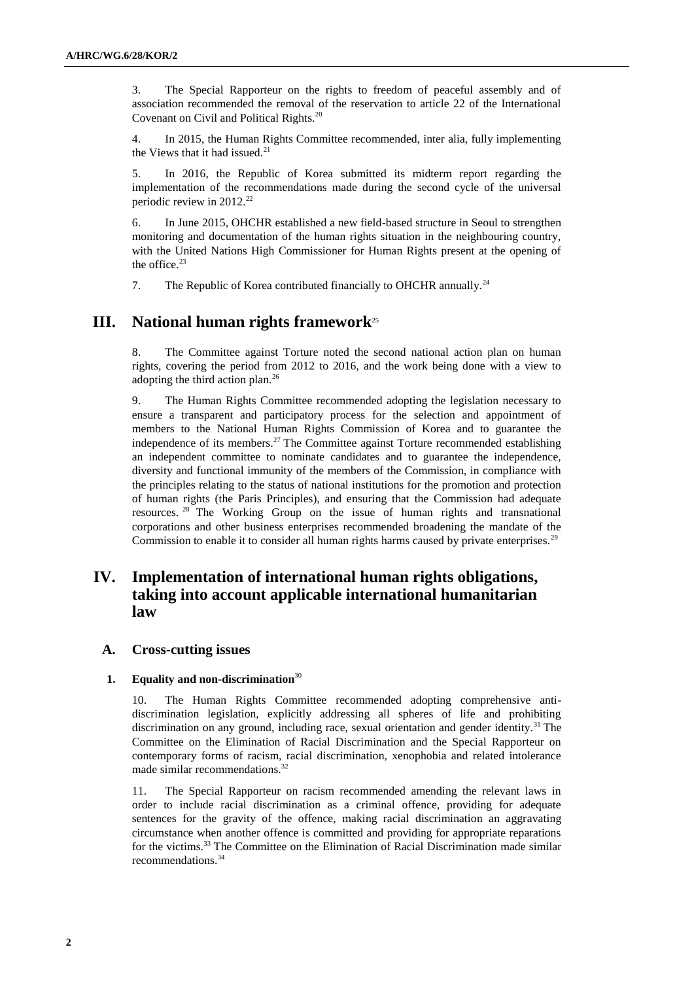3. The Special Rapporteur on the rights to freedom of peaceful assembly and of association recommended the removal of the reservation to article 22 of the International Covenant on Civil and Political Rights.<sup>20</sup>

4. In 2015, the Human Rights Committee recommended, inter alia, fully implementing the Views that it had issued.<sup>21</sup>

5. In 2016, the Republic of Korea submitted its midterm report regarding the implementation of the recommendations made during the second cycle of the universal periodic review in 2012.<sup>22</sup>

6. In June 2015, OHCHR established a new field-based structure in Seoul to strengthen monitoring and documentation of the human rights situation in the neighbouring country, with the United Nations High Commissioner for Human Rights present at the opening of the office. $23$ 

7. The Republic of Korea contributed financially to OHCHR annually.<sup>24</sup>

## **III. National human rights framework**<sup>25</sup>

8. The Committee against Torture noted the second national action plan on human rights, covering the period from 2012 to 2016, and the work being done with a view to adopting the third action plan.<sup>26</sup>

9. The Human Rights Committee recommended adopting the legislation necessary to ensure a transparent and participatory process for the selection and appointment of members to the National Human Rights Commission of Korea and to guarantee the independence of its members.<sup>27</sup> The Committee against Torture recommended establishing an independent committee to nominate candidates and to guarantee the independence, diversity and functional immunity of the members of the Commission, in compliance with the principles relating to the status of national institutions for the promotion and protection of human rights (the Paris Principles), and ensuring that the Commission had adequate resources. <sup>28</sup> The Working Group on the issue of human rights and transnational corporations and other business enterprises recommended broadening the mandate of the Commission to enable it to consider all human rights harms caused by private enterprises.<sup>29</sup>

## **IV. Implementation of international human rights obligations, taking into account applicable international humanitarian law**

## **A. Cross-cutting issues**

## **1. Equality and non-discrimination**<sup>30</sup>

10. The Human Rights Committee recommended adopting comprehensive antidiscrimination legislation, explicitly addressing all spheres of life and prohibiting discrimination on any ground, including race, sexual orientation and gender identity.<sup>31</sup> The Committee on the Elimination of Racial Discrimination and the Special Rapporteur on contemporary forms of racism, racial discrimination, xenophobia and related intolerance made similar recommendations.<sup>32</sup>

11. The Special Rapporteur on racism recommended amending the relevant laws in order to include racial discrimination as a criminal offence, providing for adequate sentences for the gravity of the offence, making racial discrimination an aggravating circumstance when another offence is committed and providing for appropriate reparations for the victims.<sup>33</sup> The Committee on the Elimination of Racial Discrimination made similar recommendations.34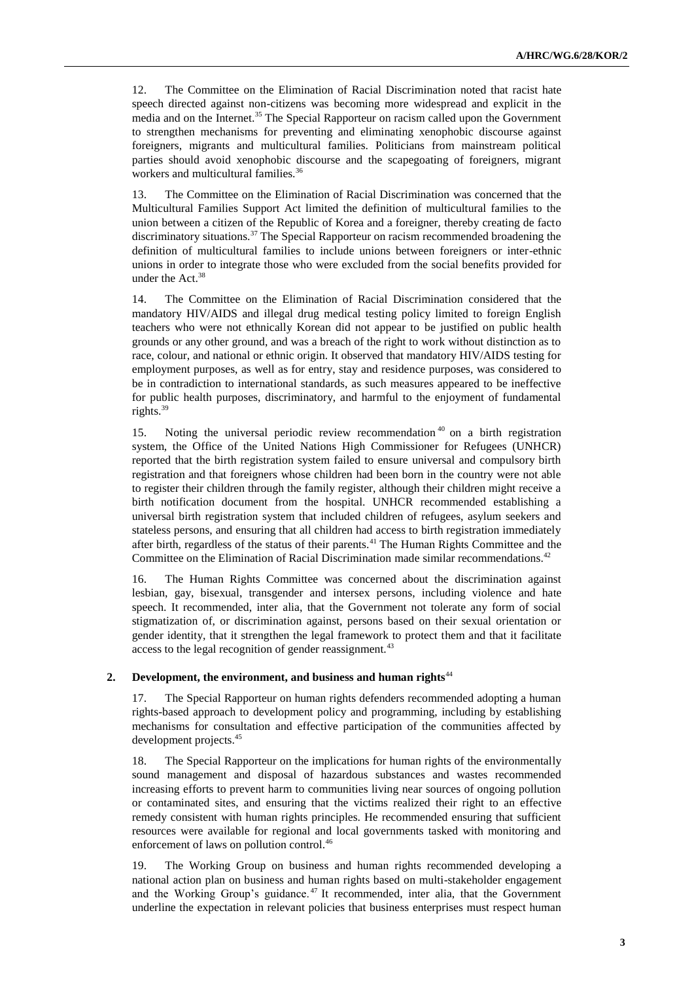12. The Committee on the Elimination of Racial Discrimination noted that racist hate speech directed against non-citizens was becoming more widespread and explicit in the media and on the Internet.<sup>35</sup> The Special Rapporteur on racism called upon the Government to strengthen mechanisms for preventing and eliminating xenophobic discourse against foreigners, migrants and multicultural families. Politicians from mainstream political parties should avoid xenophobic discourse and the scapegoating of foreigners, migrant workers and multicultural families.<sup>36</sup>

13. The Committee on the Elimination of Racial Discrimination was concerned that the Multicultural Families Support Act limited the definition of multicultural families to the union between a citizen of the Republic of Korea and a foreigner, thereby creating de facto discriminatory situations.<sup>37</sup> The Special Rapporteur on racism recommended broadening the definition of multicultural families to include unions between foreigners or inter-ethnic unions in order to integrate those who were excluded from the social benefits provided for under the  $Act.^{38}$ 

14. The Committee on the Elimination of Racial Discrimination considered that the mandatory HIV/AIDS and illegal drug medical testing policy limited to foreign English teachers who were not ethnically Korean did not appear to be justified on public health grounds or any other ground, and was a breach of the right to work without distinction as to race, colour, and national or ethnic origin. It observed that mandatory HIV/AIDS testing for employment purposes, as well as for entry, stay and residence purposes, was considered to be in contradiction to international standards, as such measures appeared to be ineffective for public health purposes, discriminatory, and harmful to the enjoyment of fundamental rights.<sup>39</sup>

15. Noting the universal periodic review recommendation <sup>40</sup> on a birth registration system, the Office of the United Nations High Commissioner for Refugees (UNHCR) reported that the birth registration system failed to ensure universal and compulsory birth registration and that foreigners whose children had been born in the country were not able to register their children through the family register, although their children might receive a birth notification document from the hospital. UNHCR recommended establishing a universal birth registration system that included children of refugees, asylum seekers and stateless persons, and ensuring that all children had access to birth registration immediately after birth, regardless of the status of their parents.<sup>41</sup> The Human Rights Committee and the Committee on the Elimination of Racial Discrimination made similar recommendations.<sup>42</sup>

16. The Human Rights Committee was concerned about the discrimination against lesbian, gay, bisexual, transgender and intersex persons, including violence and hate speech. It recommended, inter alia, that the Government not tolerate any form of social stigmatization of, or discrimination against, persons based on their sexual orientation or gender identity, that it strengthen the legal framework to protect them and that it facilitate access to the legal recognition of gender reassignment.<sup>43</sup>

## **2. Development, the environment, and business and human rights**<sup>44</sup>

17. The Special Rapporteur on human rights defenders recommended adopting a human rights-based approach to development policy and programming, including by establishing mechanisms for consultation and effective participation of the communities affected by development projects.<sup>45</sup>

18. The Special Rapporteur on the implications for human rights of the environmentally sound management and disposal of hazardous substances and wastes recommended increasing efforts to prevent harm to communities living near sources of ongoing pollution or contaminated sites, and ensuring that the victims realized their right to an effective remedy consistent with human rights principles. He recommended ensuring that sufficient resources were available for regional and local governments tasked with monitoring and enforcement of laws on pollution control.<sup>46</sup>

19. The Working Group on business and human rights recommended developing a national action plan on business and human rights based on multi-stakeholder engagement and the Working Group's guidance.<sup>47</sup> It recommended, inter alia, that the Government underline the expectation in relevant policies that business enterprises must respect human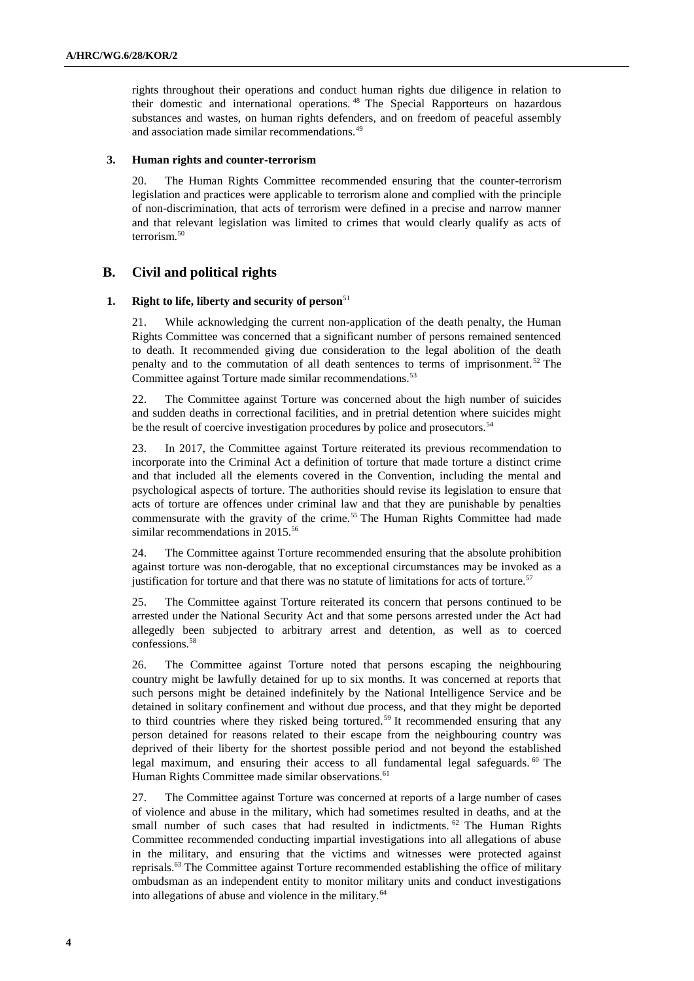rights throughout their operations and conduct human rights due diligence in relation to their domestic and international operations. <sup>48</sup> The Special Rapporteurs on hazardous substances and wastes, on human rights defenders, and on freedom of peaceful assembly and association made similar recommendations.<sup>49</sup>

### **3. Human rights and counter-terrorism**

20. The Human Rights Committee recommended ensuring that the counter-terrorism legislation and practices were applicable to terrorism alone and complied with the principle of non-discrimination, that acts of terrorism were defined in a precise and narrow manner and that relevant legislation was limited to crimes that would clearly qualify as acts of terrorism.<sup>50</sup>

## **B. Civil and political rights**

### **1. Right to life, liberty and security of person**<sup>51</sup>

21. While acknowledging the current non-application of the death penalty, the Human Rights Committee was concerned that a significant number of persons remained sentenced to death. It recommended giving due consideration to the legal abolition of the death penalty and to the commutation of all death sentences to terms of imprisonment. <sup>52</sup> The Committee against Torture made similar recommendations.<sup>53</sup>

22. The Committee against Torture was concerned about the high number of suicides and sudden deaths in correctional facilities, and in pretrial detention where suicides might be the result of coercive investigation procedures by police and prosecutors.<sup>54</sup>

23. In 2017, the Committee against Torture reiterated its previous recommendation to incorporate into the Criminal Act a definition of torture that made torture a distinct crime and that included all the elements covered in the Convention, including the mental and psychological aspects of torture. The authorities should revise its legislation to ensure that acts of torture are offences under criminal law and that they are punishable by penalties commensurate with the gravity of the crime.<sup>55</sup> The Human Rights Committee had made similar recommendations in 2015.<sup>56</sup>

24. The Committee against Torture recommended ensuring that the absolute prohibition against torture was non-derogable, that no exceptional circumstances may be invoked as a justification for torture and that there was no statute of limitations for acts of torture.<sup>57</sup>

25. The Committee against Torture reiterated its concern that persons continued to be arrested under the National Security Act and that some persons arrested under the Act had allegedly been subjected to arbitrary arrest and detention, as well as to coerced confessions.<sup>58</sup>

26. The Committee against Torture noted that persons escaping the neighbouring country might be lawfully detained for up to six months. It was concerned at reports that such persons might be detained indefinitely by the National Intelligence Service and be detained in solitary confinement and without due process, and that they might be deported to third countries where they risked being tortured.<sup>59</sup> It recommended ensuring that any person detained for reasons related to their escape from the neighbouring country was deprived of their liberty for the shortest possible period and not beyond the established legal maximum, and ensuring their access to all fundamental legal safeguards.<sup>60</sup> The Human Rights Committee made similar observations.<sup>61</sup>

27. The Committee against Torture was concerned at reports of a large number of cases of violence and abuse in the military, which had sometimes resulted in deaths, and at the small number of such cases that had resulted in indictments. <sup>62</sup> The Human Rights Committee recommended conducting impartial investigations into all allegations of abuse in the military, and ensuring that the victims and witnesses were protected against reprisals.<sup>63</sup> The Committee against Torture recommended establishing the office of military ombudsman as an independent entity to monitor military units and conduct investigations into allegations of abuse and violence in the military.64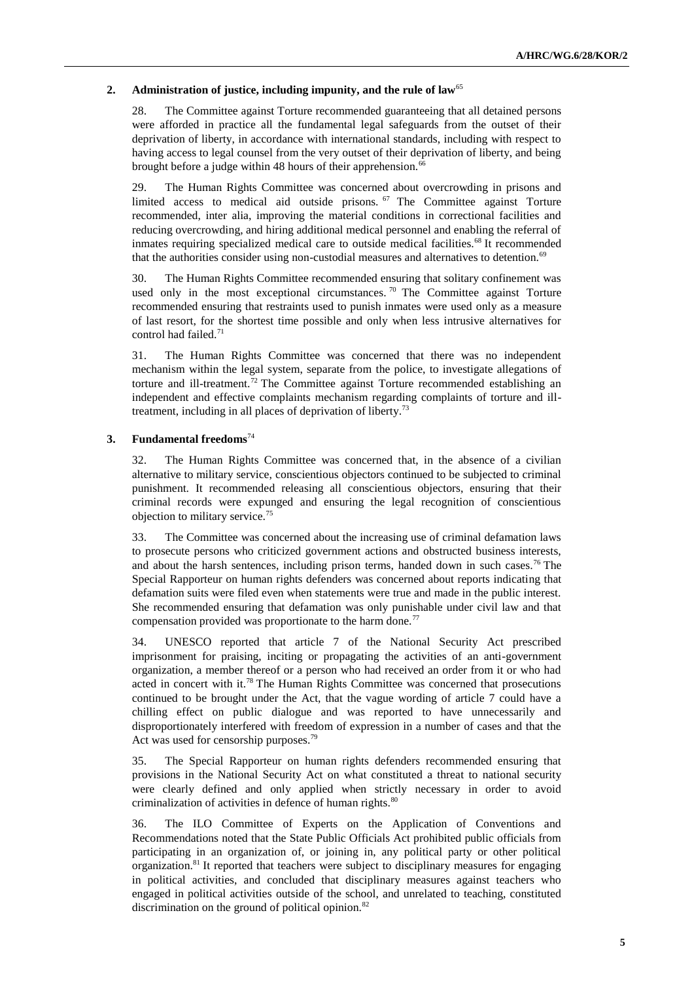## **2. Administration of justice, including impunity, and the rule of law**<sup>65</sup>

28. The Committee against Torture recommended guaranteeing that all detained persons were afforded in practice all the fundamental legal safeguards from the outset of their deprivation of liberty, in accordance with international standards, including with respect to having access to legal counsel from the very outset of their deprivation of liberty, and being brought before a judge within 48 hours of their apprehension.<sup>66</sup>

29. The Human Rights Committee was concerned about overcrowding in prisons and limited access to medical aid outside prisons.<sup>67</sup> The Committee against Torture recommended, inter alia, improving the material conditions in correctional facilities and reducing overcrowding, and hiring additional medical personnel and enabling the referral of inmates requiring specialized medical care to outside medical facilities.<sup>68</sup> It recommended that the authorities consider using non-custodial measures and alternatives to detention.<sup>69</sup>

30. The Human Rights Committee recommended ensuring that solitary confinement was used only in the most exceptional circumstances.<sup>70</sup> The Committee against Torture recommended ensuring that restraints used to punish inmates were used only as a measure of last resort, for the shortest time possible and only when less intrusive alternatives for control had failed.<sup>71</sup>

31. The Human Rights Committee was concerned that there was no independent mechanism within the legal system, separate from the police, to investigate allegations of torture and ill-treatment.<sup>72</sup> The Committee against Torture recommended establishing an independent and effective complaints mechanism regarding complaints of torture and illtreatment, including in all places of deprivation of liberty.<sup>73</sup>

## **3. Fundamental freedoms**<sup>74</sup>

32. The Human Rights Committee was concerned that, in the absence of a civilian alternative to military service, conscientious objectors continued to be subjected to criminal punishment. It recommended releasing all conscientious objectors, ensuring that their criminal records were expunged and ensuring the legal recognition of conscientious objection to military service.<sup>75</sup>

33. The Committee was concerned about the increasing use of criminal defamation laws to prosecute persons who criticized government actions and obstructed business interests, and about the harsh sentences, including prison terms, handed down in such cases.<sup>76</sup> The Special Rapporteur on human rights defenders was concerned about reports indicating that defamation suits were filed even when statements were true and made in the public interest. She recommended ensuring that defamation was only punishable under civil law and that compensation provided was proportionate to the harm done.<sup>77</sup>

34. UNESCO reported that article 7 of the National Security Act prescribed imprisonment for praising, inciting or propagating the activities of an anti-government organization, a member thereof or a person who had received an order from it or who had acted in concert with it.<sup>78</sup> The Human Rights Committee was concerned that prosecutions continued to be brought under the Act, that the vague wording of article 7 could have a chilling effect on public dialogue and was reported to have unnecessarily and disproportionately interfered with freedom of expression in a number of cases and that the Act was used for censorship purposes.<sup>79</sup>

35. The Special Rapporteur on human rights defenders recommended ensuring that provisions in the National Security Act on what constituted a threat to national security were clearly defined and only applied when strictly necessary in order to avoid criminalization of activities in defence of human rights.<sup>80</sup>

36. The ILO Committee of Experts on the Application of Conventions and Recommendations noted that the State Public Officials Act prohibited public officials from participating in an organization of, or joining in, any political party or other political organization.<sup>81</sup> It reported that teachers were subject to disciplinary measures for engaging in political activities, and concluded that disciplinary measures against teachers who engaged in political activities outside of the school, and unrelated to teaching, constituted discrimination on the ground of political opinion.<sup>82</sup>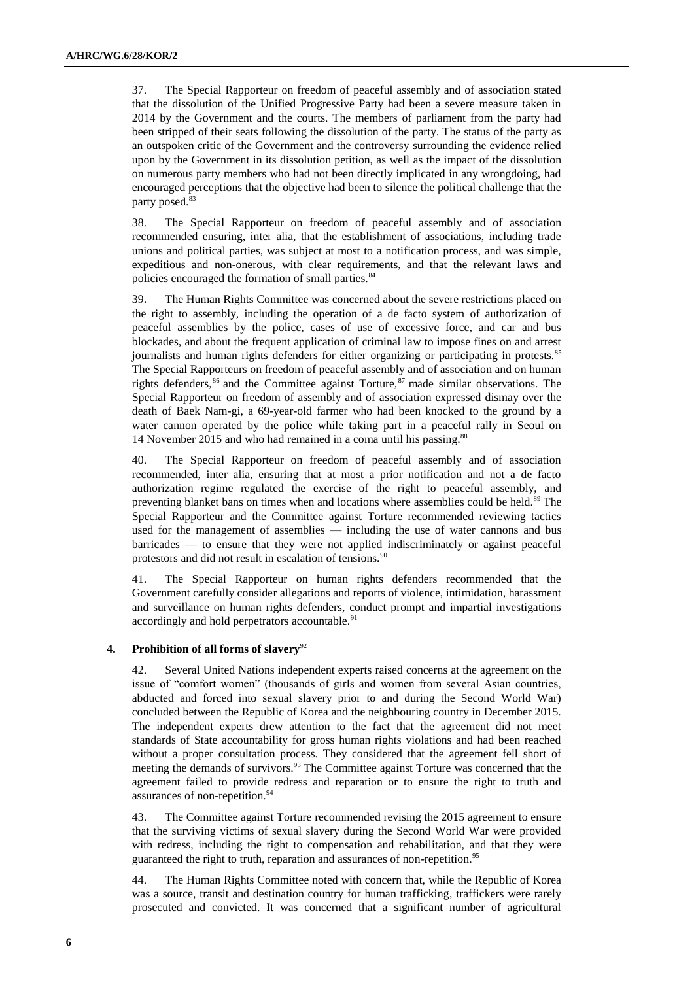37. The Special Rapporteur on freedom of peaceful assembly and of association stated that the dissolution of the Unified Progressive Party had been a severe measure taken in 2014 by the Government and the courts. The members of parliament from the party had been stripped of their seats following the dissolution of the party. The status of the party as an outspoken critic of the Government and the controversy surrounding the evidence relied upon by the Government in its dissolution petition, as well as the impact of the dissolution on numerous party members who had not been directly implicated in any wrongdoing, had encouraged perceptions that the objective had been to silence the political challenge that the party posed.<sup>83</sup>

38. The Special Rapporteur on freedom of peaceful assembly and of association recommended ensuring, inter alia, that the establishment of associations, including trade unions and political parties, was subject at most to a notification process, and was simple, expeditious and non-onerous, with clear requirements, and that the relevant laws and policies encouraged the formation of small parties.<sup>84</sup>

39. The Human Rights Committee was concerned about the severe restrictions placed on the right to assembly, including the operation of a de facto system of authorization of peaceful assemblies by the police, cases of use of excessive force, and car and bus blockades, and about the frequent application of criminal law to impose fines on and arrest journalists and human rights defenders for either organizing or participating in protests.<sup>85</sup> The Special Rapporteurs on freedom of peaceful assembly and of association and on human rights defenders,  $86$  and the Committee against Torture,  $87$  made similar observations. The Special Rapporteur on freedom of assembly and of association expressed dismay over the death of Baek Nam-gi, a 69-year-old farmer who had been knocked to the ground by a water cannon operated by the police while taking part in a peaceful rally in Seoul on 14 November 2015 and who had remained in a coma until his passing.<sup>88</sup>

40. The Special Rapporteur on freedom of peaceful assembly and of association recommended, inter alia, ensuring that at most a prior notification and not a de facto authorization regime regulated the exercise of the right to peaceful assembly, and preventing blanket bans on times when and locations where assemblies could be held.<sup>89</sup> The Special Rapporteur and the Committee against Torture recommended reviewing tactics used for the management of assemblies — including the use of water cannons and bus barricades — to ensure that they were not applied indiscriminately or against peaceful protestors and did not result in escalation of tensions.<sup>90</sup>

41. The Special Rapporteur on human rights defenders recommended that the Government carefully consider allegations and reports of violence, intimidation, harassment and surveillance on human rights defenders, conduct prompt and impartial investigations accordingly and hold perpetrators accountable.<sup>91</sup>

## **4. Prohibition of all forms of slavery**<sup>92</sup>

42. Several United Nations independent experts raised concerns at the agreement on the issue of "comfort women" (thousands of girls and women from several Asian countries, abducted and forced into sexual slavery prior to and during the Second World War) concluded between the Republic of Korea and the neighbouring country in December 2015. The independent experts drew attention to the fact that the agreement did not meet standards of State accountability for gross human rights violations and had been reached without a proper consultation process. They considered that the agreement fell short of meeting the demands of survivors.<sup>93</sup> The Committee against Torture was concerned that the agreement failed to provide redress and reparation or to ensure the right to truth and assurances of non-repetition.<sup>94</sup>

43. The Committee against Torture recommended revising the 2015 agreement to ensure that the surviving victims of sexual slavery during the Second World War were provided with redress, including the right to compensation and rehabilitation, and that they were guaranteed the right to truth, reparation and assurances of non-repetition.<sup>95</sup>

44. The Human Rights Committee noted with concern that, while the Republic of Korea was a source, transit and destination country for human trafficking, traffickers were rarely prosecuted and convicted. It was concerned that a significant number of agricultural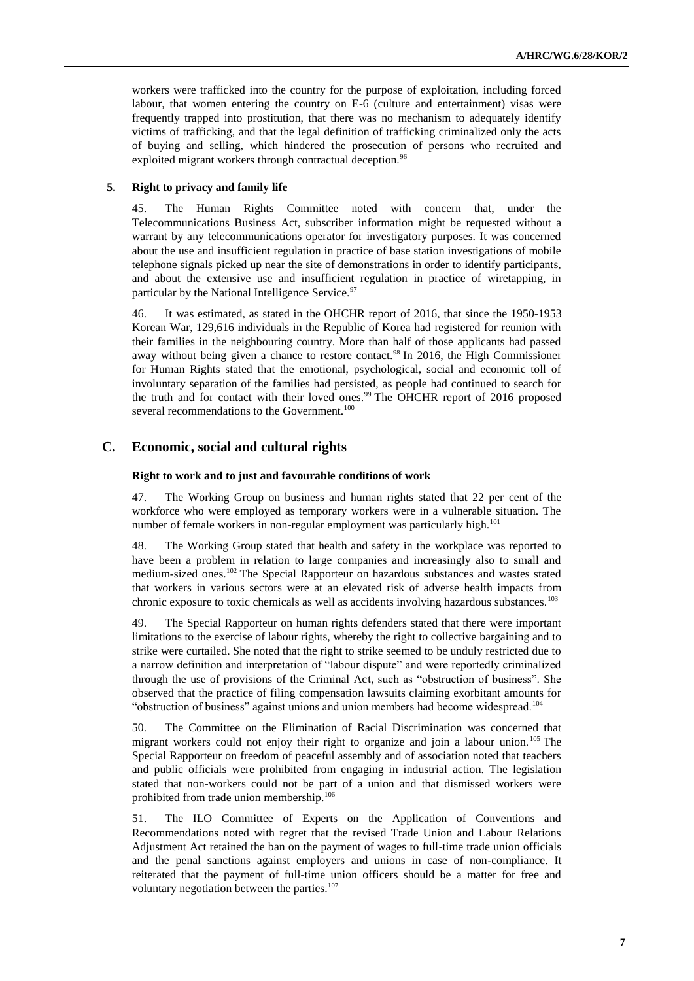workers were trafficked into the country for the purpose of exploitation, including forced labour, that women entering the country on E-6 (culture and entertainment) visas were frequently trapped into prostitution, that there was no mechanism to adequately identify victims of trafficking, and that the legal definition of trafficking criminalized only the acts of buying and selling, which hindered the prosecution of persons who recruited and exploited migrant workers through contractual deception.<sup>96</sup>

### **5. Right to privacy and family life**

45. The Human Rights Committee noted with concern that, under the Telecommunications Business Act, subscriber information might be requested without a warrant by any telecommunications operator for investigatory purposes. It was concerned about the use and insufficient regulation in practice of base station investigations of mobile telephone signals picked up near the site of demonstrations in order to identify participants, and about the extensive use and insufficient regulation in practice of wiretapping, in particular by the National Intelligence Service.<sup>97</sup>

46. It was estimated, as stated in the OHCHR report of 2016, that since the 1950-1953 Korean War, 129,616 individuals in the Republic of Korea had registered for reunion with their families in the neighbouring country. More than half of those applicants had passed away without being given a chance to restore contact.<sup>98</sup> In 2016, the High Commissioner for Human Rights stated that the emotional, psychological, social and economic toll of involuntary separation of the families had persisted, as people had continued to search for the truth and for contact with their loved ones.<sup>99</sup> The OHCHR report of 2016 proposed several recommendations to the Government.<sup>100</sup>

## **C. Economic, social and cultural rights**

#### **Right to work and to just and favourable conditions of work**

47. The Working Group on business and human rights stated that 22 per cent of the workforce who were employed as temporary workers were in a vulnerable situation. The number of female workers in non-regular employment was particularly high.<sup>101</sup>

48. The Working Group stated that health and safety in the workplace was reported to have been a problem in relation to large companies and increasingly also to small and medium-sized ones.<sup>102</sup> The Special Rapporteur on hazardous substances and wastes stated that workers in various sectors were at an elevated risk of adverse health impacts from chronic exposure to toxic chemicals as well as accidents involving hazardous substances.<sup>103</sup>

49. The Special Rapporteur on human rights defenders stated that there were important limitations to the exercise of labour rights, whereby the right to collective bargaining and to strike were curtailed. She noted that the right to strike seemed to be unduly restricted due to a narrow definition and interpretation of "labour dispute" and were reportedly criminalized through the use of provisions of the Criminal Act, such as "obstruction of business". She observed that the practice of filing compensation lawsuits claiming exorbitant amounts for "obstruction of business" against unions and union members had become widespread.<sup>104</sup>

50. The Committee on the Elimination of Racial Discrimination was concerned that migrant workers could not enjoy their right to organize and join a labour union.<sup>105</sup> The Special Rapporteur on freedom of peaceful assembly and of association noted that teachers and public officials were prohibited from engaging in industrial action. The legislation stated that non-workers could not be part of a union and that dismissed workers were prohibited from trade union membership.<sup>106</sup>

51. The ILO Committee of Experts on the Application of Conventions and Recommendations noted with regret that the revised Trade Union and Labour Relations Adjustment Act retained the ban on the payment of wages to full-time trade union officials and the penal sanctions against employers and unions in case of non-compliance. It reiterated that the payment of full-time union officers should be a matter for free and voluntary negotiation between the parties.<sup>107</sup>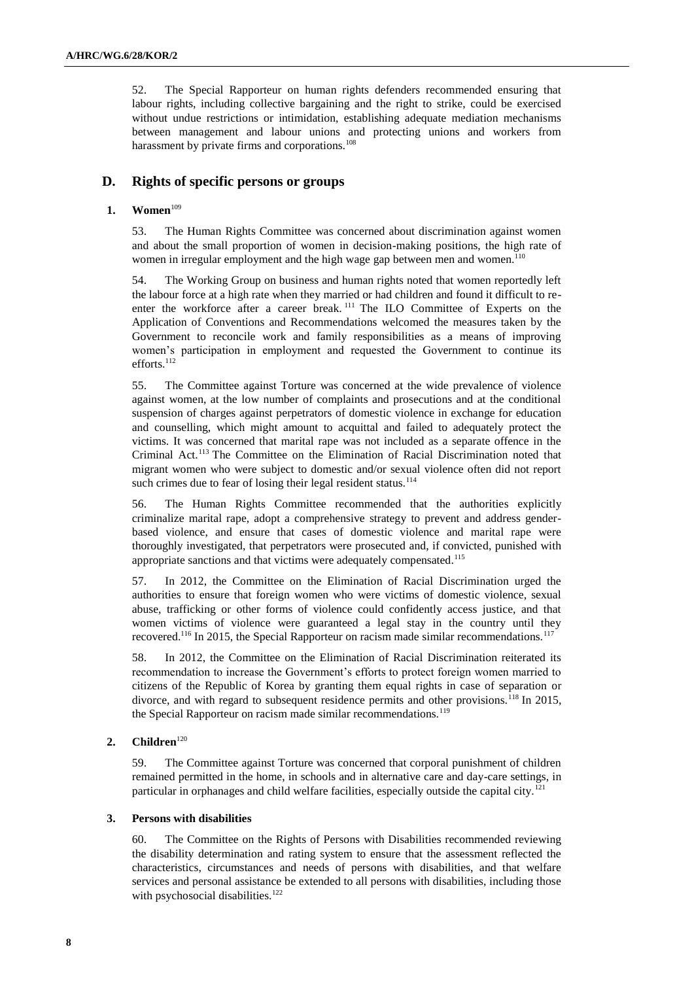52. The Special Rapporteur on human rights defenders recommended ensuring that labour rights, including collective bargaining and the right to strike, could be exercised without undue restrictions or intimidation, establishing adequate mediation mechanisms between management and labour unions and protecting unions and workers from harassment by private firms and corporations.<sup>108</sup>

## **D. Rights of specific persons or groups**

## **1. Women**<sup>109</sup>

53. The Human Rights Committee was concerned about discrimination against women and about the small proportion of women in decision-making positions, the high rate of women in irregular employment and the high wage gap between men and women.<sup>110</sup>

54. The Working Group on business and human rights noted that women reportedly left the labour force at a high rate when they married or had children and found it difficult to reenter the workforce after a career break. <sup>111</sup> The ILO Committee of Experts on the Application of Conventions and Recommendations welcomed the measures taken by the Government to reconcile work and family responsibilities as a means of improving women's participation in employment and requested the Government to continue its efforts.<sup>112</sup>

55. The Committee against Torture was concerned at the wide prevalence of violence against women, at the low number of complaints and prosecutions and at the conditional suspension of charges against perpetrators of domestic violence in exchange for education and counselling, which might amount to acquittal and failed to adequately protect the victims. It was concerned that marital rape was not included as a separate offence in the Criminal Act.<sup>113</sup> The Committee on the Elimination of Racial Discrimination noted that migrant women who were subject to domestic and/or sexual violence often did not report such crimes due to fear of losing their legal resident status.<sup>114</sup>

56. The Human Rights Committee recommended that the authorities explicitly criminalize marital rape, adopt a comprehensive strategy to prevent and address genderbased violence, and ensure that cases of domestic violence and marital rape were thoroughly investigated, that perpetrators were prosecuted and, if convicted, punished with appropriate sanctions and that victims were adequately compensated.<sup>115</sup>

57. In 2012, the Committee on the Elimination of Racial Discrimination urged the authorities to ensure that foreign women who were victims of domestic violence, sexual abuse, trafficking or other forms of violence could confidently access justice, and that women victims of violence were guaranteed a legal stay in the country until they recovered.<sup>116</sup> In 2015, the Special Rapporteur on racism made similar recommendations.<sup>117</sup>

58. In 2012, the Committee on the Elimination of Racial Discrimination reiterated its recommendation to increase the Government's efforts to protect foreign women married to citizens of the Republic of Korea by granting them equal rights in case of separation or divorce, and with regard to subsequent residence permits and other provisions.<sup>118</sup> In 2015, the Special Rapporteur on racism made similar recommendations.<sup>119</sup>

## 2. **Children**<sup>120</sup>

59. The Committee against Torture was concerned that corporal punishment of children remained permitted in the home, in schools and in alternative care and day-care settings, in particular in orphanages and child welfare facilities, especially outside the capital city.<sup>121</sup>

## **3. Persons with disabilities**

60. The Committee on the Rights of Persons with Disabilities recommended reviewing the disability determination and rating system to ensure that the assessment reflected the characteristics, circumstances and needs of persons with disabilities, and that welfare services and personal assistance be extended to all persons with disabilities, including those with psychosocial disabilities.<sup>122</sup>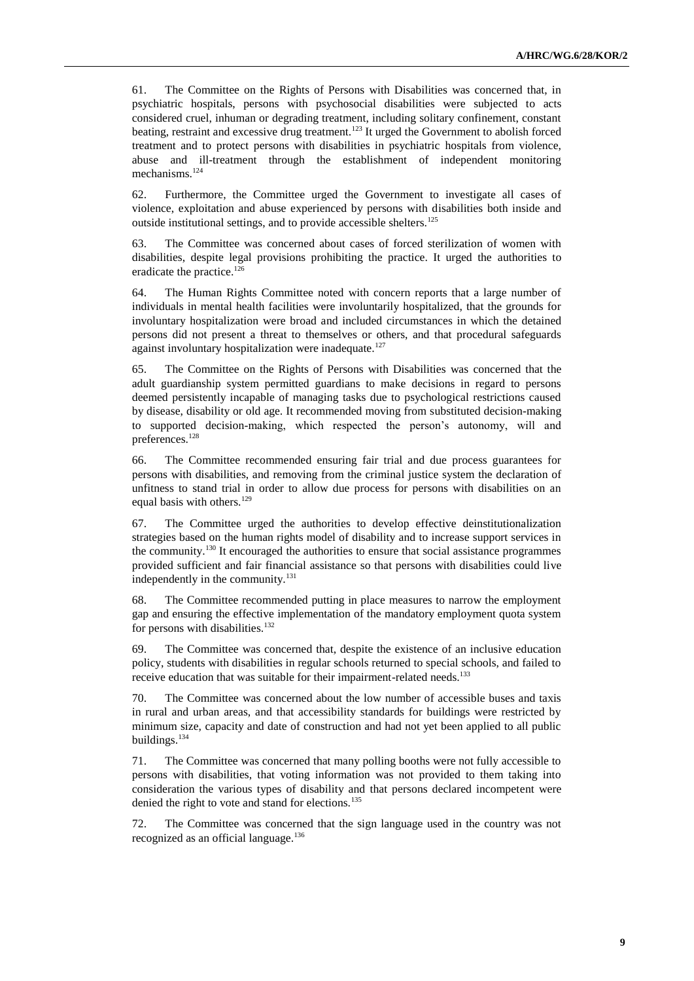61. The Committee on the Rights of Persons with Disabilities was concerned that, in psychiatric hospitals, persons with psychosocial disabilities were subjected to acts considered cruel, inhuman or degrading treatment, including solitary confinement, constant beating, restraint and excessive drug treatment.<sup>123</sup> It urged the Government to abolish forced treatment and to protect persons with disabilities in psychiatric hospitals from violence, abuse and ill-treatment through the establishment of independent monitoring mechanisms.<sup>124</sup>

62. Furthermore, the Committee urged the Government to investigate all cases of violence, exploitation and abuse experienced by persons with disabilities both inside and outside institutional settings, and to provide accessible shelters.<sup>125</sup>

63. The Committee was concerned about cases of forced sterilization of women with disabilities, despite legal provisions prohibiting the practice. It urged the authorities to eradicate the practice.<sup>126</sup>

64. The Human Rights Committee noted with concern reports that a large number of individuals in mental health facilities were involuntarily hospitalized, that the grounds for involuntary hospitalization were broad and included circumstances in which the detained persons did not present a threat to themselves or others, and that procedural safeguards against involuntary hospitalization were inadequate.<sup>127</sup>

65. The Committee on the Rights of Persons with Disabilities was concerned that the adult guardianship system permitted guardians to make decisions in regard to persons deemed persistently incapable of managing tasks due to psychological restrictions caused by disease, disability or old age. It recommended moving from substituted decision-making to supported decision-making, which respected the person's autonomy, will and preferences.<sup>128</sup>

66. The Committee recommended ensuring fair trial and due process guarantees for persons with disabilities, and removing from the criminal justice system the declaration of unfitness to stand trial in order to allow due process for persons with disabilities on an equal basis with others.<sup>129</sup>

67. The Committee urged the authorities to develop effective deinstitutionalization strategies based on the human rights model of disability and to increase support services in the community.<sup>130</sup> It encouraged the authorities to ensure that social assistance programmes provided sufficient and fair financial assistance so that persons with disabilities could live independently in the community.<sup>131</sup>

68. The Committee recommended putting in place measures to narrow the employment gap and ensuring the effective implementation of the mandatory employment quota system for persons with disabilities.<sup>132</sup>

69. The Committee was concerned that, despite the existence of an inclusive education policy, students with disabilities in regular schools returned to special schools, and failed to receive education that was suitable for their impairment-related needs.<sup>133</sup>

70. The Committee was concerned about the low number of accessible buses and taxis in rural and urban areas, and that accessibility standards for buildings were restricted by minimum size, capacity and date of construction and had not yet been applied to all public buildings.<sup>134</sup>

71. The Committee was concerned that many polling booths were not fully accessible to persons with disabilities, that voting information was not provided to them taking into consideration the various types of disability and that persons declared incompetent were denied the right to vote and stand for elections.<sup>135</sup>

72. The Committee was concerned that the sign language used in the country was not recognized as an official language.<sup>136</sup>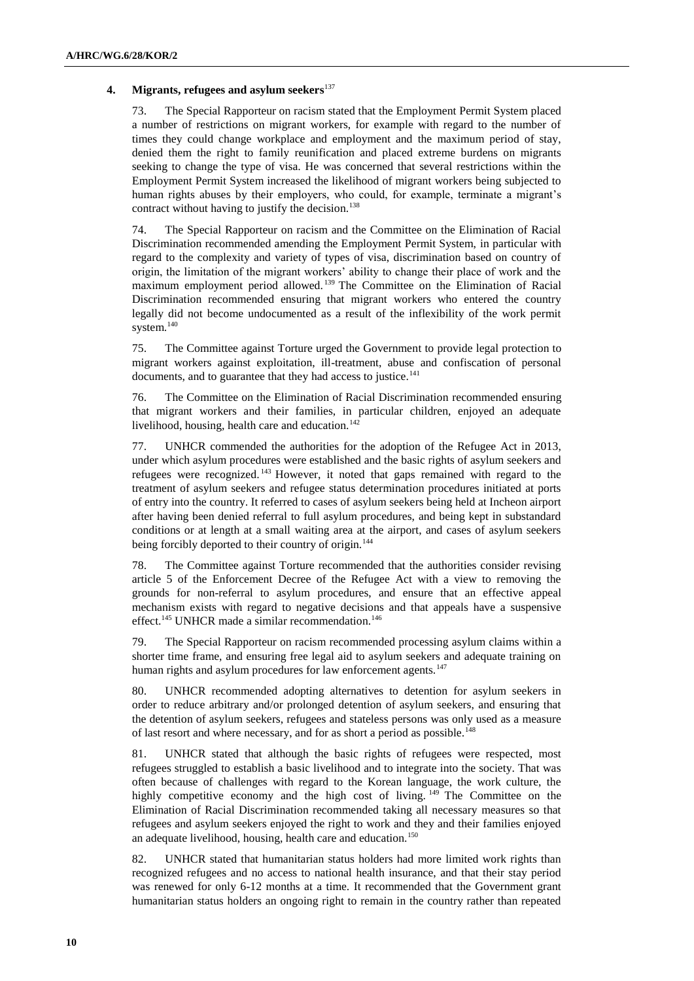### **4. Migrants, refugees and asylum seekers**<sup>137</sup>

73. The Special Rapporteur on racism stated that the Employment Permit System placed a number of restrictions on migrant workers, for example with regard to the number of times they could change workplace and employment and the maximum period of stay, denied them the right to family reunification and placed extreme burdens on migrants seeking to change the type of visa. He was concerned that several restrictions within the Employment Permit System increased the likelihood of migrant workers being subjected to human rights abuses by their employers, who could, for example, terminate a migrant's contract without having to justify the decision.<sup>138</sup>

74. The Special Rapporteur on racism and the Committee on the Elimination of Racial Discrimination recommended amending the Employment Permit System, in particular with regard to the complexity and variety of types of visa, discrimination based on country of origin, the limitation of the migrant workers' ability to change their place of work and the maximum employment period allowed. <sup>139</sup> The Committee on the Elimination of Racial Discrimination recommended ensuring that migrant workers who entered the country legally did not become undocumented as a result of the inflexibility of the work permit system.<sup>140</sup>

75. The Committee against Torture urged the Government to provide legal protection to migrant workers against exploitation, ill-treatment, abuse and confiscation of personal documents, and to guarantee that they had access to justice.<sup>141</sup>

76. The Committee on the Elimination of Racial Discrimination recommended ensuring that migrant workers and their families, in particular children, enjoyed an adequate livelihood, housing, health care and education. $142$ 

77. UNHCR commended the authorities for the adoption of the Refugee Act in 2013, under which asylum procedures were established and the basic rights of asylum seekers and refugees were recognized. <sup>143</sup> However, it noted that gaps remained with regard to the treatment of asylum seekers and refugee status determination procedures initiated at ports of entry into the country. It referred to cases of asylum seekers being held at Incheon airport after having been denied referral to full asylum procedures, and being kept in substandard conditions or at length at a small waiting area at the airport, and cases of asylum seekers being forcibly deported to their country of origin.<sup>144</sup>

78. The Committee against Torture recommended that the authorities consider revising article 5 of the Enforcement Decree of the Refugee Act with a view to removing the grounds for non-referral to asylum procedures, and ensure that an effective appeal mechanism exists with regard to negative decisions and that appeals have a suspensive effect.<sup>145</sup> UNHCR made a similar recommendation.<sup>146</sup>

79. The Special Rapporteur on racism recommended processing asylum claims within a shorter time frame, and ensuring free legal aid to asylum seekers and adequate training on human rights and asylum procedures for law enforcement agents.<sup>147</sup>

80. UNHCR recommended adopting alternatives to detention for asylum seekers in order to reduce arbitrary and/or prolonged detention of asylum seekers, and ensuring that the detention of asylum seekers, refugees and stateless persons was only used as a measure of last resort and where necessary, and for as short a period as possible.<sup>148</sup>

81. UNHCR stated that although the basic rights of refugees were respected, most refugees struggled to establish a basic livelihood and to integrate into the society. That was often because of challenges with regard to the Korean language, the work culture, the highly competitive economy and the high cost of living. <sup>149</sup> The Committee on the Elimination of Racial Discrimination recommended taking all necessary measures so that refugees and asylum seekers enjoyed the right to work and they and their families enjoyed an adequate livelihood, housing, health care and education.<sup>150</sup>

82. UNHCR stated that humanitarian status holders had more limited work rights than recognized refugees and no access to national health insurance, and that their stay period was renewed for only 6-12 months at a time. It recommended that the Government grant humanitarian status holders an ongoing right to remain in the country rather than repeated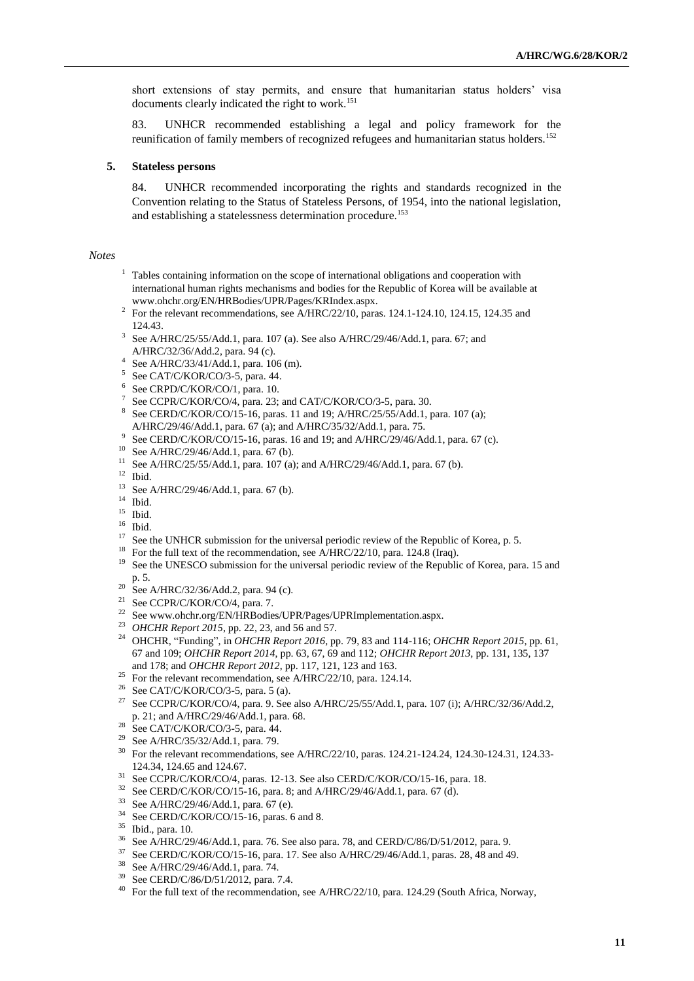short extensions of stay permits, and ensure that humanitarian status holders' visa documents clearly indicated the right to work.<sup>151</sup>

83. UNHCR recommended establishing a legal and policy framework for the reunification of family members of recognized refugees and humanitarian status holders.<sup>152</sup>

#### **5. Stateless persons**

84. UNHCR recommended incorporating the rights and standards recognized in the Convention relating to the Status of Stateless Persons, of 1954, into the national legislation, and establishing a statelessness determination procedure.<sup>153</sup>

#### *Notes*

- <sup>1</sup> Tables containing information on the scope of international obligations and cooperation with international human rights mechanisms and bodies for the Republic of Korea will be available at [www.ohchr.org/EN/HRBodies/UPR/Pages/KRIndex.aspx.](file:///C:/Users/Khorozyan/AppData/Local/Temp/notesE31F8E/www.ohchr.org/EN/HRBodies/UPR/Pages/KRIndex.aspx)
- <sup>2</sup> For the relevant recommendations, see A/HRC/22/10, paras. 124.1-124.10, 124.15, 124.35 and 124.43.
- <sup>3</sup> See A/HRC/25/55/Add.1, para. 107 (a). See also A/HRC/29/46/Add.1, para. 67; and A/HRC/32/36/Add.2, para. 94 (c).
- 4 See A/HRC/33/41/Add.1, para. 106 (m).
- <sup>5</sup> See CAT/C/KOR/CO/3-5, para. 44.
- 6 See CRPD/C/KOR/CO/1, para. 10.
- 7 See CCPR/C/KOR/CO/4, para. 23; and CAT/C/KOR/CO/3-5, para. 30.
- 8 See CERD/C/KOR/CO/15-16, paras. 11 and 19; A/HRC/25/55/Add.1, para. 107 (a); A/HRC/29/46/Add.1, para. 67 (a); and A/HRC/35/32/Add.1, para. 75.
- 9 See CERD/C/KOR/CO/15-16, paras. 16 and 19; and A/HRC/29/46/Add.1, para. 67 (c).
- <sup>10</sup> See A/HRC/29/46/Add.1, para. 67 (b).
- <sup>11</sup> See A/HRC/25/55/Add.1, para. 107 (a); and A/HRC/29/46/Add.1, para. 67 (b).
- $12$  Ibid.
- <sup>13</sup> See A/HRC/29/46/Add.1, para. 67 (b).
- $^{14}\,$  Ibid.
- <sup>15</sup> Ibid.
- $16$  Ibid.
- <sup>17</sup> See the UNHCR submission for the universal periodic review of the Republic of Korea, p. 5.<br><sup>18</sup> For the full taut of the geometric gas A (HBC/22/10, pers. 124.8 (Irso)
- <sup>18</sup> For the full text of the recommendation, see A/HRC/22/10, para. 124.8 (Iraq).<br><sup>19</sup> See the UNESCO submission for the universal periodic review of the Bosubli
- See the UNESCO submission for the universal periodic review of the Republic of Korea, para. 15 and
- p. 5.
- <sup>20</sup> See A/HRC/32/36/Add.2, para. 94 (c).
- <sup>21</sup> See CCPR/C/KOR/CO/4, para. 7.
- See www.ohchr.org/EN/HRBodies/UPR/Pages/UPRImplementation.aspx.
- <sup>23</sup> *OHCHR Report 2015*, pp. 22, 23, and 56 and 57.
- <sup>24</sup> OHCHR, "Funding", in *OHCHR Report 2016*, pp. 79, 83 and 114-116; *OHCHR Report 2015*, pp. 61, 67 and 109; *OHCHR Report 2014*, pp. 63, 67, 69 and 112; *OHCHR Report 2013*, pp. 131, 135, 137 and 178; and *OHCHR Report 2012*, pp. 117, 121, 123 and 163.
- <sup>25</sup> For the relevant recommendation, see A/HRC/22/10, para. 124.14.
- <sup>26</sup> See CAT/C/KOR/CO/3-5, para. 5 (a).
- <sup>27</sup> See CCPR/C/KOR/CO/4, para. 9. See also A/HRC/25/55/Add.1, para. 107 (i); A/HRC/32/36/Add.2, p. 21; and A/HRC/29/46/Add.1, para. 68.
- <sup>28</sup> See CAT/C/KOR/CO/3-5, para. 44.
- <sup>29</sup> See A/HRC/35/32/Add.1, para. 79.<br> $^{30}$  For the relevant recommendations.
- <sup>30</sup> For the relevant recommendations, see A/HRC/22/10, paras. 124.21-124.24, 124.30-124.31, 124.33- 124.34, 124.65 and 124.67.
- <sup>31</sup> See CCPR/C/KOR/CO/4, paras. 12-13. See also CERD/C/KOR/CO/15-16, para. 18.
- <sup>32</sup> See CERD/C/KOR/CO/15-16, para. 8; and A/HRC/29/46/Add.1, para. 67 (d).
- See A/HRC/29/46/Add.1, para. 67 (e).
- <sup>34</sup> See CERD/C/KOR/CO/15-16, paras. 6 and 8.
- <sup>35</sup> Ibid., para. 10.
- <sup>36</sup> See A/HRC/29/46/Add.1, para. 76. See also para. 78, and CERD/C/86/D/51/2012, para. 9.
- <sup>37</sup> See CERD/C/KOR/CO/15-16, para. 17. See also A/HRC/29/46/Add.1, paras. 28, 48 and 49.
- <sup>38</sup> See A/HRC/29/46/Add.1, para. 74.
- See CERD/C/86/D/51/2012, para. 7.4.
- <sup>40</sup> For the full text of the recommendation, see A/HRC/22/10, para. 124.29 (South Africa, Norway,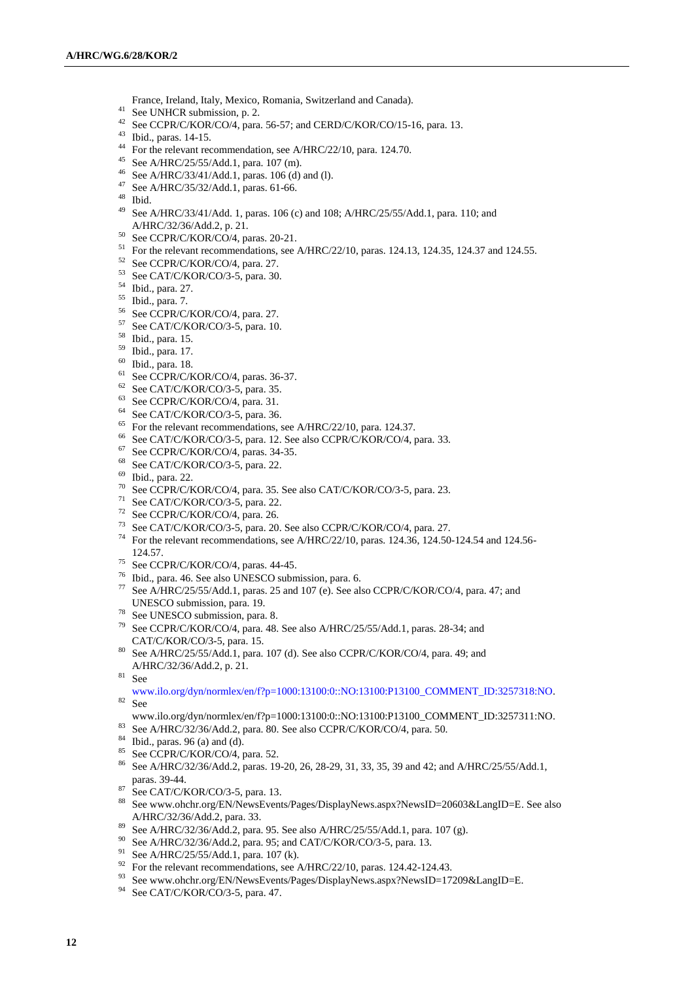- France, Ireland, Italy, Mexico, Romania, Switzerland and Canada).
- <sup>41</sup> See UNHCR submission, p. 2.
- <sup>42</sup> See CCPR/C/KOR/CO/4, para. 56-57; and CERD/C/KOR/CO/15-16, para. 13.
- Ibid., paras. 14-15.
- For the relevant recommendation, see A/HRC/22/10, para. 124.70.
- See A/HRC/25/55/Add.1, para. 107 (m).
- See A/HRC/33/41/Add.1, paras. 106 (d) and (l).
- See A/HRC/35/32/Add.1, paras. 61-66.
- Ibid.
- See A/HRC/33/41/Add. 1, paras. 106 (c) and 108; A/HRC/25/55/Add.1, para. 110; and A/HRC/32/36/Add.2, p. 21.
- See CCPR/C/KOR/CO/4, paras. 20-21.
- <sup>51</sup> For the relevant recommendations, see A/HRC/22/10, paras. 124.13, 124.35, 124.37 and 124.55.
- See CCPR/C/KOR/CO/4, para. 27.
- See CAT/C/KOR/CO/3-5, para. 30.
- Ibid., para. 27.
- Ibid., para. 7.
- See CCPR/C/KOR/CO/4, para. 27.
- See CAT/C/KOR/CO/3-5, para. 10.
- Ibid., para. 15.
- Ibid., para. 17.
- Ibid., para. 18.
- <sup>61</sup> See CCPR/C/KOR/CO/4, paras. 36-37.
- See CAT/C/KOR/CO/3-5, para. 35.
- See CCPR/C/KOR/CO/4, para. 31.
- See CAT/C/KOR/CO/3-5, para. 36.
- <sup>65</sup> For the relevant recommendations, see A/HRC/22/10, para. 124.37.<br><sup>66</sup> See CAT/C/VOP/CO/3.5, para. 12. See also CCPP/C/KOP/CO/4.1
- <sup>66</sup> See CAT/C/KOR/CO/3-5, para. 12. See also CCPR/C/KOR/CO/4, para. 33.
- $^{67}$  See CCPR/C/KOR/CO/4, paras. 34-35.
- See CAT/C/KOR/CO/3-5, para. 22.
- Ibid., para. 22.
- See CCPR/C/KOR/CO/4, para. 35. See also CAT/C/KOR/CO/3-5, para. 23.
- See CAT/C/KOR/CO/3-5, para. 22.
- See CCPR/C/KOR/CO/4, para. 26.
- See CAT/C/KOR/CO/3-5, para. 20. See also CCPR/C/KOR/CO/4, para. 27.
- For the relevant recommendations, see A/HRC/22/10, paras. 124.36, 124.50-124.54 and 124.56- 124.57.
- See CCPR/C/KOR/CO/4, paras. 44-45.
- Ibid., para. 46. See also UNESCO submission, para. 6.
- See A/HRC/25/55/Add.1, paras. 25 and 107 (e). See also CCPR/C/KOR/CO/4, para. 47; and UNESCO submission, para. 19.
- See UNESCO submission, para. 8.
- See CCPR/C/KOR/CO/4, para. 48. See also A/HRC/25/55/Add.1, paras. 28-34; and CAT/C/KOR/CO/3-5, para. 15.
- See A/HRC/25/55/Add.1, para. 107 (d). See also CCPR/C/KOR/CO/4, para. 49; and A/HRC/32/36/Add.2, p. 21.
- See

[www.ilo.org/dyn/normlex/en/f?p=1000:13100:0::NO:13100:P13100\\_COMMENT\\_ID:3257318:NO.](http://www.ilo.org/dyn/normlex/en/f?p=1000:13100:0::NO:13100:P13100_COMMENT_ID:3257318:NO) See

- [www.ilo.org/dyn/normlex/en/f?p=1000:13100:0::NO:13100:P13100\\_COMMENT\\_ID:3257311:NO.](file:///C:/Users/Khorozyan/AppData/Local/Temp/notesE31F8E/www.ilo.org/dyn/normlex/en/f%3fp=1000:13100:0::NO:13100:P13100_COMMENT_ID:3257311:NO)
- See A/HRC/32/36/Add.2, para. 80. See also CCPR/C/KOR/CO/4, para. 50.
- Ibid., paras. 96 (a) and (d).
- 85 See CCPR/C/KOR/CO/4, para. 52.
- See A/HRC/32/36/Add.2, paras. 19-20, 26, 28-29, 31, 33, 35, 39 and 42; and A/HRC/25/55/Add.1, paras. 39-44.
- $^{87}$  See CAT/C/KOR/CO/3-5, para. 13.
- Se[e www.ohchr.org/EN/NewsEvents/Pages/DisplayNews.aspx?NewsID=20603&LangID=E.](file:///C:/Users/Khorozyan/AppData/Local/Temp/notesE31F8E/www.ohchr.org/EN/NewsEvents/Pages/DisplayNews.aspx%3fNewsID=20603&LangID=E) See also A/HRC/32/36/Add.2, para. 33.
- See A/HRC/32/36/Add.2, para. 95. See also A/HRC/25/55/Add.1, para. 107 (g).
- See A/HRC/32/36/Add.2, para. 95; and CAT/C/KOR/CO/3-5, para. 13.
- See A/HRC/25/55/Add.1, para. 107 (k).
- <sup>92</sup> For the relevant recommendations, see A/HRC/22/10, paras. 124.42-124.43.
- See www.ohchr.org/EN/NewsEvents/Pages/DisplayNews.aspx?NewsID=17209&LangID=E.
- <sup>94</sup> See CAT/C/KOR/CO/3-5, para. 47.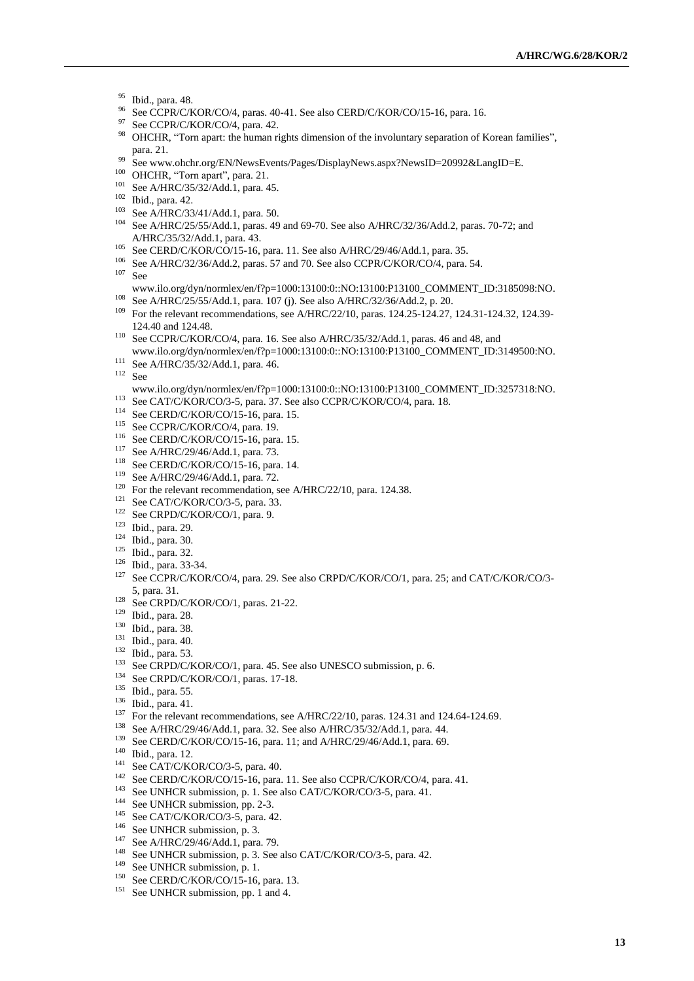- <sup>95</sup> Ibid., para. 48.
- <sup>96</sup> See CCPR/C/KOR/CO/4, paras. 40-41. See also CERD/C/KOR/CO/15-16, para. 16.<br><sup>97</sup> See CCPR/C/KOR/CO/4, para. 42
- See CCPR/C/KOR/CO/4, para. 42.
- <sup>98</sup> OHCHR, "Torn apart: the human rights dimension of the involuntary separation of Korean families", para. 21.
- <sup>99</sup> See www.ohchr.org/EN/NewsEvents/Pages/DisplayNews.aspx?NewsID=20992&LangID=E.
- <sup>100</sup> OHCHR, "Torn apart", para. 21.
- <sup>101</sup> See A/HRC/35/32/Add.1, para. 45.
- <sup>102</sup> Ibid., para. 42.
- <sup>103</sup> See A/HRC/33/41/Add.1, para. 50.
- <sup>104</sup> See A/HRC/25/55/Add.1, paras. 49 and 69-70. See also A/HRC/32/36/Add.2, paras. 70-72; and A/HRC/35/32/Add.1, para. 43.
- <sup>105</sup> See CERD/C/KOR/CO/15-16, para. 11. See also A/HRC/29/46/Add.1, para. 35.<br><sup>106</sup> See A/HDC/22/26/Add.2, paras. 57 and 70. See also CCPB/C/KOB/CO/4, para.
- <sup>106</sup> See A/HRC/32/36/Add.2, paras. 57 and 70. See also CCPR/C/KOR/CO/4, para. 54.
- <sup>107</sup> [See](file:///C:/Users/Khorozyan/AppData/Local/Temp/notesE31F8E/See%20www.ilo.org/dyn/normlex/en/f%3fp=1000:13100:0::NO:13100:P13100_COMMENT_ID:3185098:NO)
- [www.ilo.org/dyn/normlex/en/f?p=1000:13100:0::NO:13100:P13100\\_COMMENT\\_ID:3185098:NO.](file:///C:/Users/Khorozyan/AppData/Local/Temp/notesE31F8E/See%20www.ilo.org/dyn/normlex/en/f%3fp=1000:13100:0::NO:13100:P13100_COMMENT_ID:3185098:NO) <sup>108</sup> See A/HRC/25/55/Add.1, para. 107 (j). See also A/HRC/32/36/Add.2, p. 20.
- <sup>109</sup> For the relevant recommendations, see A/HRC/22/10, paras. 124.25-124.27, 124.31-124.32, 124.39-124.40 and 124.48.
- <sup>110</sup> See CCPR/C/KOR/CO/4, para. 16. See also A/HRC/35/32/Add.1, paras. 46 and 48, and [www.ilo.org/dyn/normlex/en/f?p=1000:13100:0::NO:13100:P13100\\_COMMENT\\_ID:3149500:NO.](file:///C:/Users/Khorozyan/AppData/Local/Temp/notesE31F8E/www.ilo.org/dyn/normlex/en/f%3fp=1000:13100:0::NO:13100:P13100_COMMENT_ID:3149500:NO)
- <sup>111</sup> See A/HRC/35/32/Add.1, para. 46.
- <sup>112</sup> Se[e](file:///C:/Users/Khorozyan/AppData/Local/Temp/notesE31F8E/www.ilo.org/dyn/normlex/en/f%3fp=1000:13100:0::NO:13100:P13100_COMMENT_ID:3257318:NO)
- [www.ilo.org/dyn/normlex/en/f?p=1000:13100:0::NO:13100:P13100\\_COMMENT\\_ID:3257318:NO.](file:///C:/Users/Khorozyan/AppData/Local/Temp/notesE31F8E/www.ilo.org/dyn/normlex/en/f%3fp=1000:13100:0::NO:13100:P13100_COMMENT_ID:3257318:NO)
- <sup>113</sup> See CAT/C/KOR/CO/3-5, para. 37. See also CCPR/C/KOR/CO/4, para. 18.
- <sup>114</sup> See CERD/C/KOR/CO/15-16, para. 15.
- <sup>115</sup> See CCPR/C/KOR/CO/4, para. 19.
- <sup>116</sup> See CERD/C/KOR/CO/15-16, para. 15.
- See A/HRC/29/46/Add.1, para. 73.
- <sup>118</sup> See CERD/C/KOR/CO/15-16, para. 14.
- <sup>119</sup> See A/HRC/29/46/Add.1, para. 72.
- <sup>120</sup> For the relevant recommendation, see A/HRC/22/10, para. 124.38.
- <sup>121</sup> See CAT/C/KOR/CO/3-5, para. 33.
- <sup>122</sup> See CRPD/C/KOR/CO/1, para. 9.
- <sup>123</sup> Ibid., para. 29.
- <sup>124</sup> Ibid., para. 30.
- <sup>125</sup> Ibid., para. 32.
- <sup>126</sup> Ibid., para. 33-34.
- <sup>127</sup> See CCPR/C/KOR/CO/4, para. 29. See also CRPD/C/KOR/CO/1, para. 25; and CAT/C/KOR/CO/3-5, para. 31.
- <sup>128</sup> See CRPD/C/KOR/CO/1, paras. 21-22.
- <sup>129</sup> Ibid., para. 28.
- <sup>130</sup> Ibid., para. 38.
- <sup>131</sup> Ibid., para. 40.
- <sup>132</sup> Ibid., para. 53.
- <sup>133</sup> See CRPD/C/KOR/CO/1, para. 45. See also UNESCO submission, p. 6.
- <sup>134</sup> See CRPD/C/KOR/CO/1, paras. 17-18.
- <sup>135</sup> Ibid., para. 55.
- <sup>136</sup> Ibid., para. 41.
- <sup>137</sup> For the relevant recommendations, see A/HRC/22/10, paras. 124.31 and 124.64-124.69.
- <sup>138</sup> See A/HRC/29/46/Add.1, para. 32. See also A/HRC/35/32/Add.1, para. 44.
- <sup>139</sup> See CERD/C/KOR/CO/15-16, para. 11; and A/HRC/29/46/Add.1, para. 69.
- <sup>140</sup> Ibid., para. 12.
- <sup>141</sup> See CAT/C/KOR/CO/3-5, para. 40.
- <sup>142</sup> See CERD/C/KOR/CO/15-16, para. 11. See also CCPR/C/KOR/CO/4, para. 41.
- <sup>143</sup> See UNHCR submission, p. 1. See also CAT/C/KOR/CO/3-5, para. 41.
- <sup>144</sup> See UNHCR submission, pp. 2-3.
- <sup>145</sup> See CAT/C/KOR/CO/3-5, para. 42.
- <sup>146</sup> See UNHCR submission, p. 3.
- <sup>147</sup> See A/HRC/29/46/Add.1, para. 79.
- <sup>148</sup> See UNHCR submission, p. 3. See also CAT/C/KOR/CO/3-5, para. 42.
- <sup>149</sup> See UNHCR submission, p. 1.
- <sup>150</sup> See CERD/C/KOR/CO/15-16, para. 13.
- <sup>151</sup> See UNHCR submission, pp. 1 and 4.